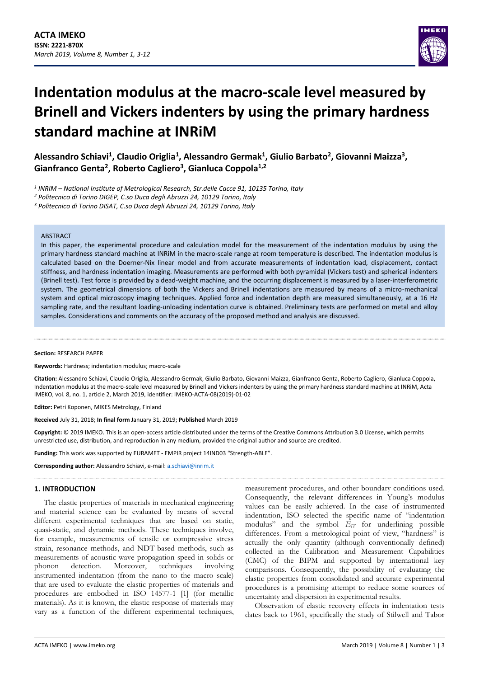

# **Indentation modulus at the macro-scale level measured by Brinell and Vickers indenters by using the primary hardness standard machine at INRiM**

**Alessandro Schiavi<sup>1</sup> , Claudio Origlia<sup>1</sup> , Alessandro Germak<sup>1</sup> , Giulio Barbato<sup>2</sup> , Giovanni Maizza<sup>3</sup> , Gianfranco Genta<sup>2</sup> , Roberto Cagliero<sup>3</sup> , Gianluca Coppola1,2**

*1 INRIM – National Institute of Metrological Research, Str.delle Cacce 91, 10135 Torino, Italy*

*<sup>2</sup> Politecnico di Torino DIGEP, C.so Duca degli Abruzzi 24, 10129 Torino, Italy*

*<sup>3</sup> Politecnico di Torino DISAT, C.so Duca degli Abruzzi 24, 10129 Torino, Italy*

#### **ARSTRACT**

In this paper, the experimental procedure and calculation model for the measurement of the indentation modulus by using the primary hardness standard machine at INRiM in the macro-scale range at room temperature is described. The indentation modulus is calculated based on the Doerner-Nix linear model and from accurate measurements of indentation load, displacement, contact stiffness, and hardness indentation imaging. Measurements are performed with both pyramidal (Vickers test) and spherical indenters (Brinell test). Test force is provided by a dead-weight machine, and the occurring displacement is measured by a laser-interferometric system. The geometrical dimensions of both the Vickers and Brinell indentations are measured by means of a micro-mechanical system and optical microscopy imaging techniques. Applied force and indentation depth are measured simultaneously, at a 16 Hz sampling rate, and the resultant loading-unloading indentation curve is obtained. Preliminary tests are performed on metal and alloy samples. Considerations and comments on the accuracy of the proposed method and analysis are discussed.

#### **Section:** RESEARCH PAPER

**Keywords:** Hardness; indentation modulus; macro-scale

**Citation:** Alessandro Schiavi, Claudio Origlia, Alessandro Germak, Giulio Barbato, Giovanni Maizza, Gianfranco Genta, Roberto Cagliero, Gianluca Coppola, Indentation modulus at the macro-scale level measured by Brinell and Vickers indenters by using the primary hardness standard machine at INRiM, Acta IMEKO, vol. 8, no. 1, article 2, March 2019, identifier: IMEKO-ACTA-08(2019)-01-02

**Editor:** Petri Koponen, MIKES Metrology, Finland

**Received** July 31, 2018; **In final form** January 31, 2019; **Published** March 2019

**Copyright:** © 2019 IMEKO. This is an open-access article distributed under the terms of the Creative Commons Attribution 3.0 License, which permits unrestricted use, distribution, and reproduction in any medium, provided the original author and source are credited.

**Funding:** This work was supported by EURAMET - EMPIR project 14IND03 "Strength-ABLE".

**Corresponding author:** Alessandro Schiavi, e-mail[: a.schiavi@inrim.it](mailto:a.schiavi@inrim.it)

### **1. INTRODUCTION**

The elastic properties of materials in mechanical engineering and material science can be evaluated by means of several different experimental techniques that are based on static, quasi-static, and dynamic methods. These techniques involve, for example, measurements of tensile or compressive stress strain, resonance methods, and NDT-based methods, such as measurements of acoustic wave propagation speed in solids or phonon detection. Moreover, techniques involving instrumented indentation (from the nano to the macro scale) that are used to evaluate the elastic properties of materials and procedures are embodied in ISO 14577-1 [\[1\]](#page-8-0) (for metallic materials). As it is known, the elastic response of materials may vary as a function of the different experimental techniques,

measurement procedures, and other boundary conditions used. Consequently, the relevant differences in Young's modulus values can be easily achieved. In the case of instrumented indentation, ISO selected the specific name of "indentation modulus" and the symbol *EIT* for underlining possible differences. From a metrological point of view, "hardness" is actually the only quantity (although conventionally defined) collected in the Calibration and Measurement Capabilities (CMC) of the BIPM and supported by international key comparisons. Consequently, the possibility of evaluating the elastic properties from consolidated and accurate experimental procedures is a promising attempt to reduce some sources of uncertainty and dispersion in experimental results.

Observation of elastic recovery effects in indentation tests dates back to 1961, specifically the study of Stilwell and Tabor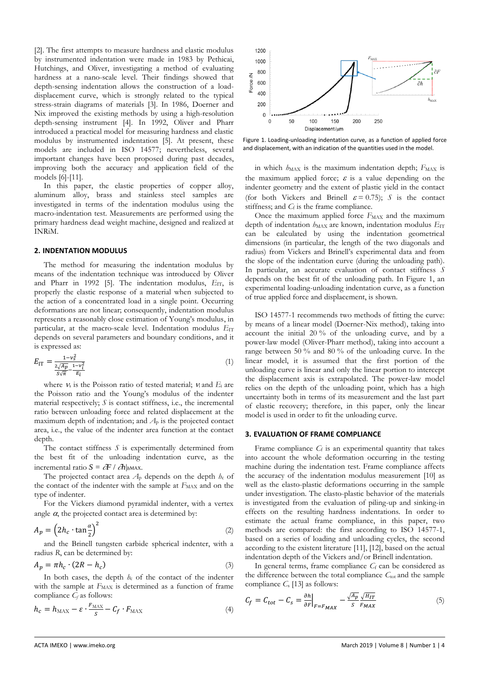[\[2\].](#page-8-1) The first attempts to measure hardness and elastic modulus by instrumented indentation were made in 1983 by Pethicai, Hutchings, and Oliver, investigating a method of evaluating hardness at a nano-scale level. Their findings showed that depth-sensing indentation allows the construction of a loaddisplacement curve, which is strongly related to the typical stress-strain diagrams of materials [\[3\].](#page-8-2) In 1986, Doerner and Nix improved the existing methods by using a high-resolution depth-sensing instrument [\[4\].](#page-8-3) In 1992, Oliver and Pharr introduced a practical model for measuring hardness and elastic modulus by instrumented indentation [\[5\].](#page-8-4) At present, these models are included in ISO 14577; nevertheless, several important changes have been proposed during past decades, improving both the accuracy and application field of the models [\[6\]](#page-8-5)[-\[11\].](#page-9-0)

In this paper, the elastic properties of copper alloy, aluminum alloy, brass and stainless steel samples are investigated in terms of the indentation modulus using the macro-indentation test. Measurements are performed using the primary hardness dead weight machine, designed and realized at INRiM.

#### **2. INDENTATION MODULUS**

The method for measuring the indentation modulus by means of the indentation technique was introduced by Oliver and Pharr in 1992 [\[5\].](#page-8-4) The indentation modulus,  $E_{IT}$ , is properly the elastic response of a material when subjected to the action of a concentrated load in a single point. Occurring deformations are not linear; consequently, indentation modulus represents a reasonably close estimation of Young's modulus, in particular, at the macro-scale level. Indentation modulus  $E_{IT}$ depends on several parameters and boundary conditions, and it is expressed as:

$$
E_{\rm IT} = \frac{1 - v_s^2}{\frac{2\sqrt{Ap}}{S\sqrt{\pi}} - \frac{1 - v_t^2}{E_i}}
$$
(1)

where  $v_s$  is the Poisson ratio of tested material;  $v_i$  and  $E_i$  are the Poisson ratio and the Young's modulus of the indenter material respectively; *S* is contact stiffness, i.e., the incremental ratio between unloading force and related displacement at the maximum depth of indentation; and  $A<sub>p</sub>$  is the projected contact area, i.e., the value of the indenter area function at the contact depth.

The contact stiffness *S* is experimentally determined from the best fit of the unloading indentation curve, as the incremental ratio  $S = \partial F / \partial h|_{hMAX}$ .

The projected contact area  $A_p$  depends on the depth  $h_c$  of the contact of the indenter with the sample at  $F_{MAX}$  and on the type of indenter.

For the Vickers diamond pyramidal indenter, with a vertex angle  $\alpha$ , the projected contact area is determined by:

$$
A_p = \left(2h_c \cdot \tan\frac{\alpha}{2}\right)^2\tag{2}
$$

and the Brinell tungsten carbide spherical indenter, with a radius *R*, can be determined by:

$$
A_p = \pi h_c \cdot (2R - h_c) \tag{3}
$$

In both cases, the depth  $h_c$  of the contact of the indenter with the sample at  $F_{MAX}$  is determined as a function of frame compliance  $C_f$  as follows:

$$
h_c = h_{\text{MAX}} - \varepsilon \cdot \frac{F_{\text{MAX}}}{s} - C_f \cdot F_{\text{MAX}} \tag{4}
$$



<span id="page-1-0"></span>Figure 1. Loading-unloading indentation curve, as a function of applied force and displacement, with an indication of the quantities used in the model.

in which  $h_{MAX}$  is the maximum indentation depth;  $F_{MAX}$  is the maximum applied force;  $\varepsilon$  is a value depending on the indenter geometry and the extent of plastic yield in the contact (for both Vickers and Brinell  $\varepsilon = 0.75$ ); *S* is the contact stiffness; and *C*<sub>f</sub> is the frame compliance.

Once the maximum applied force  $F_{MAX}$  and the maximum depth of indentation  $h_{\text{MAX}}$  are known, indentation modulus  $E_{\text{IT}}$ can be calculated by using the indentation geometrical dimensions (in particular, the length of the two diagonals and radius) from Vickers and Brinell's experimental data and from the slope of the indentation curve (during the unloading path). In particular, an accurate evaluation of contact stiffness *S* depends on the best fit of the unloading path. In [Figure 1,](#page-1-0) an experimental loading-unloading indentation curve, as a function of true applied force and displacement, is shown.

ISO 14577-1 recommends two methods of fitting the curve: by means of a linear model (Doerner-Nix method), taking into account the initial 20 % of the unloading curve, and by a power-law model (Oliver-Pharr method), taking into account a range between 50 % and 80 % of the unloading curve. In the linear model, it is assumed that the first portion of the unloading curve is linear and only the linear portion to intercept the displacement axis is extrapolated. The power-law model relies on the depth of the unloading point, which has a high uncertainty both in terms of its measurement and the last part of elastic recovery; therefore, in this paper, only the linear model is used in order to fit the unloading curve.

#### **3. EVALUATION OF FRAME COMPLIANCE**

Frame compliance  $C_f$  is an experimental quantity that takes into account the whole deformation occurring in the testing machine during the indentation test. Frame compliance affects the accuracy of the indentation modulus measurement [\[10\]](#page-9-1) as well as the elasto-plastic deformations occurring in the sample under investigation. The elasto-plastic behavior of the materials is investigated from the evaluation of piling-up and sinking-in effects on the resulting hardness indentations. In order to estimate the actual frame compliance, in this paper, two methods are compared: the first according to ISO 14577-1, based on a series of loading and unloading cycles, the second according to the existent literatur[e \[11\],](#page-9-0) [\[12\],](#page-9-2) based on the actual indentation depth of the Vickers and/or Brinell indentation.

In general terms, frame compliance  $C_f$  can be considered as the difference between the total compliance C<sub>tot</sub> and the sample compliance *C*<sup>s</sup> [\[13\]](#page-9-3) as follows:

$$
C_f = C_{tot} - C_s = \frac{\partial h}{\partial F}\Big|_{F = F_{MAX}} - \frac{\sqrt{A_p}}{S} \frac{\sqrt{H_{IT}}}{F_{MAX}} \tag{5}
$$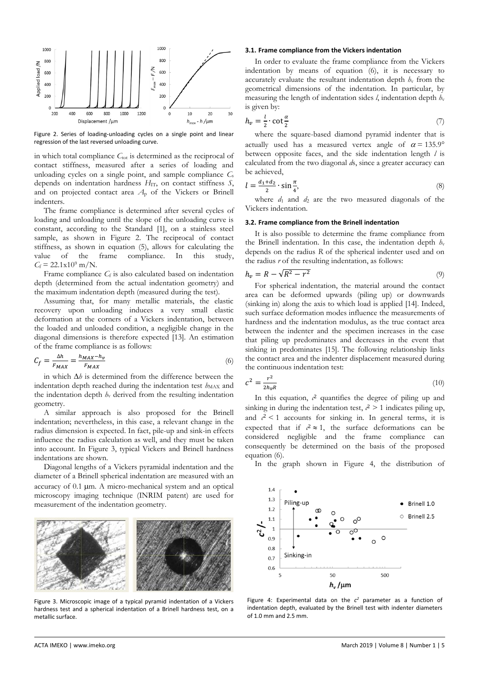

<span id="page-2-0"></span>Figure 2. Series of loading-unloading cycles on a single point and linear regression of the last reversed unloading curve.

in which total compliance C<sub>tot</sub> is determined as the reciprocal of contact stiffness, measured after a series of loading and unloading cycles on a single point, and sample compliance *C*<sup>s</sup> depends on indentation hardness  $H_{\text{IT}}$ , on contact stiffness *S*, and on projected contact area *A*<sup>p</sup> of the Vickers or Brinell indenters.

The frame compliance is determined after several cycles of loading and unloading until the slope of the unloading curve is constant, according to the Standard [\[1\],](#page-8-0) on a stainless steel sample, as shown in [Figure 2.](#page-2-0) The reciprocal of contact stiffness, as shown in equation (5), allows for calculating the value of the frame compliance. In this study,  $C_f = 22.1 \times 10^9$  m/N.

Frame compliance *C*<sub>f</sub> is also calculated based on indentation depth (determined from the actual indentation geometry) and the maximum indentation depth (measured during the test).

Assuming that, for many metallic materials, the elastic recovery upon unloading induces a very small elastic deformation at the corners of a Vickers indentation, between the loaded and unloaded condition, a negligible change in the diagonal dimensions is therefore expected [\[13\].](#page-9-3) An estimation of the frame compliance is as follows:

$$
C_f = \frac{\Delta h}{F_{MAX}} = \frac{h_{MAX} - h_v}{F_{MAX}}\tag{6}
$$

in which  $\Delta h$  is determined from the difference between the indentation depth reached during the indentation test  $h_{MAX}$  and the indentation depth  $h<sub>v</sub>$  derived from the resulting indentation geometry.

A similar approach is also proposed for the Brinell indentation; nevertheless, in this case, a relevant change in the radius dimension is expected. In fact, pile-up and sink-in effects influence the radius calculation as well, and they must be taken into account. In [Figure 3,](#page-2-1) typical Vickers and Brinell hardness indentations are shown.

Diagonal lengths of a Vickers pyramidal indentation and the diameter of a Brinell spherical indentation are measured with an accuracy of 0.1  $\mu$ m. A micro-mechanical system and an optical microscopy imaging technique (INRIM patent) are used for measurement of the indentation geometry.



<span id="page-2-1"></span>Figure 3. Microscopic image of a typical pyramid indentation of a Vickers hardness test and a spherical indentation of a Brinell hardness test, on a metallic surface.

#### **3.1. Frame compliance from the Vickers indentation**

In order to evaluate the frame compliance from the Vickers indentation by means of equation (6), it is necessary to accurately evaluate the resultant indentation depth  $h<sub>v</sub>$  from the geometrical dimensions of the indentation. In particular, by measuring the length of indentation sides  $l$ , indentation depth  $h<sub>v</sub>$ is given by:

$$
h_v = \frac{l}{2} \cdot \cot \frac{\alpha}{2} \tag{7}
$$

where the square-based diamond pyramid indenter that is actually used has a measured vertex angle of  $\alpha = 135.9^{\circ}$ between opposite faces, and the side indentation length *l* is calculated from the two diagonal *d*s, since a greater accuracy can be achieved,

$$
l = \frac{d_1 + d_2}{2} \cdot \sin\frac{\pi}{4},\tag{8}
$$

where  $d_1$  and  $d_2$  are the two measured diagonals of the Vickers indentation.

#### **3.2. Frame compliance from the Brinell indentation**

It is also possible to determine the frame compliance from the Brinell indentation. In this case, the indentation depth  $h_v$ depends on the radius *R* of the spherical indenter used and on the radius *r* of the resulting indentation, as follows:

$$
h_v = R - \sqrt{R^2 - r^2} \tag{9}
$$

For spherical indentation, the material around the contact area can be deformed upwards (piling up) or downwards (sinking in) along the axis to which load is applied [\[14\].](#page-9-4) Indeed, such surface deformation modes influence the measurements of hardness and the indentation modulus, as the true contact area between the indenter and the specimen increases in the case that piling up predominates and decreases in the event that sinking in predominates [\[15\].](#page-9-5) The following relationship links the contact area and the indenter displacement measured during the continuous indentation test:

$$
c^2 = \frac{r^2}{2h_v R} \tag{10}
$$

In this equation,  $\ell^2$  quantifies the degree of piling up and sinking in during the indentation test,  $c^2 > 1$  indicates piling up, and  $c^2$  < 1 accounts for sinking in. In general terms, it is expected that if  $c^2 \approx 1$ , the surface deformations can be considered negligible and the frame compliance can consequently be determined on the basis of the proposed equation (6).

In the graph shown in [Figure 4,](#page-2-2) the distribution of



<span id="page-2-2"></span>Figure 4: Experimental data on the  $c^2$  parameter as a function of indentation depth, evaluated by the Brinell test with indenter diameters of 1.0 mm and 2.5 mm.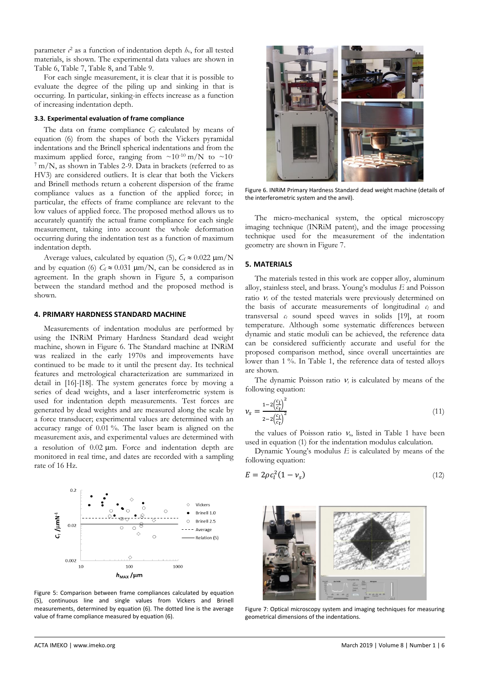parameter  $c^2$  as a function of indentation depth  $h_v$ , for all tested materials, is shown. The experimental data values are shown in Table [6,](#page-6-0) Table [7,](#page-6-1) Table [8,](#page-6-2) and Table [9.](#page-6-3)

For each single measurement, it is clear that it is possible to evaluate the degree of the piling up and sinking in that is occurring. In particular, sinking-in effects increase as a function of increasing indentation depth.

#### **3.3. Experimental evaluation of frame compliance**

The data on frame compliance *C<sup>f</sup>* calculated by means of equation (6) from the shapes of both the Vickers pyramidal indentations and the Brinell spherical indentations and from the maximum applied force, ranging from  $\sim 10^{-10}$  m/N to  $\sim 10^{-10}$ <sup>7</sup> m/N, as shown in Tables [2-](#page-5-0)[9.](#page-6-3) Data in brackets (referred to as HV3) are considered outliers. It is clear that both the Vickers and Brinell methods return a coherent dispersion of the frame compliance values as a function of the applied force; in particular, the effects of frame compliance are relevant to the low values of applied force. The proposed method allows us to accurately quantify the actual frame compliance for each single measurement, taking into account the whole deformation occurring during the indentation test as a function of maximum indentation depth.

Average values, calculated by equation (5),  $C_f \approx 0.022 \ \mu m/N$ and by equation (6)  $C_f \approx 0.031 \text{ }\mu\text{m/N}$ , can be considered as in agreement. In the graph shown in [Figure 5,](#page-3-0) a comparison between the standard method and the proposed method is shown.

#### **4. PRIMARY HARDNESS STANDARD MACHINE**

Measurements of indentation modulus are performed by using the INRiM Primary Hardness Standard dead weight machine, shown in [Figure 6.](#page-3-1) The Standard machine at INRiM was realized in the early 1970s and improvements have continued to be made to it until the present day. Its technical features and metrological characterization are summarized in detail in [\[16\]-](#page-9-6)[\[18\].](#page-9-7) The system generates force by moving a series of dead weights, and a laser interferometric system is used for indentation depth measurements. Test forces are generated by dead weights and are measured along the scale by a force transducer; experimental values are determined with an accuracy range of 0.01 %. The laser beam is aligned on the measurement axis, and experimental values are determined with a resolution of  $0.02 \mu m$ . Force and indentation depth are monitored in real time, and dates are recorded with a sampling rate of 16 Hz.



<span id="page-3-0"></span>Figure 5: Comparison between frame compliances calculated by equation (5), continuous line and single values from Vickers and Brinell measurements, determined by equation (6). The dotted line is the average value of frame compliance measured by equation (6).



Figure 6. INRiM Primary Hardness Standard dead weight machine (details of the interferometric system and the anvil).

<span id="page-3-1"></span>The micro-mechanical system, the optical microscopy imaging technique (INRiM patent), and the image processing technique used for the measurement of the indentation geometry are shown in [Figure 7.](#page-3-2)

#### **5. MATERIALS**

The materials tested in this work are copper alloy, aluminum alloy, stainless steel, and brass. Young's modulus *E* and Poisson ratio  $v_s$  of the tested materials were previously determined on the basis of accurate measurements of longitudinal *c<sup>l</sup>* and transversal *c<sup>t</sup>* sound speed waves in solids [\[19\],](#page-9-8) at room temperature. Although some systematic differences between dynamic and static moduli can be achieved, the reference data can be considered sufficiently accurate and useful for the proposed comparison method, since overall uncertainties are lower than 1 %. In Table [1,](#page-4-0) the reference data of tested alloys are shown.

The dynamic Poisson ratio  $v<sub>s</sub>$  is calculated by means of the following equation:

$$
\nu_s = \frac{1 - 2\left(\frac{c_l}{c_t}\right)^2}{2 - 2\left(\frac{c_l}{c_t}\right)^2} \tag{11}
$$

the values of Poisson ratio  $v_s$ , listed in Table [1](#page-4-0) have been used in equation (1) for the indentation modulus calculation.

Dynamic Young's modulus *E* is calculated by means of the following equation:

$$
E = 2\rho c_l^2 (1 - v_s) \tag{12}
$$

<span id="page-3-2"></span>

Figure 7: Optical microscopy system and imaging techniques for measuring geometrical dimensions of the indentations.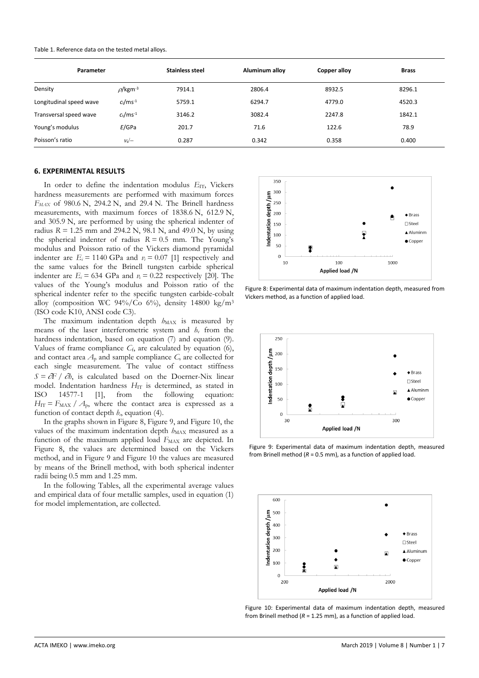<span id="page-4-0"></span>

| Parameter               |                           | <b>Stainless steel</b> | Aluminum alloy | Copper alloy | <b>Brass</b> |
|-------------------------|---------------------------|------------------------|----------------|--------------|--------------|
| Density                 | $\rho$ /kgm <sup>-3</sup> | 7914.1                 | 2806.4         | 8932.5       | 8296.1       |
| Longitudinal speed wave | $c_1/ms^{-1}$             | 5759.1                 | 6294.7         | 4779.0       | 4520.3       |
| Transversal speed wave  | $c_t/ms^{-1}$             | 3146.2                 | 3082.4         | 2247.8       | 1842.1       |
| Young's modulus         | E/GPa                     | 201.7                  | 71.6           | 122.6        | 78.9         |
| Poisson's ratio         | $v_s$ /-                  | 0.287                  | 0.342          | 0.358        | 0.400        |

#### **6. EXPERIMENTAL RESULTS**

In order to define the indentation modulus *E*<sub>IT</sub>, Vickers hardness measurements are performed with maximum forces *FMAX* of 980.6 N, 294.2 N, and 29.4 N. The Brinell hardness measurements, with maximum forces of 1838.6 N, 612.9 N, and 305.9 N, are performed by using the spherical indenter of radius  $R = 1.25$  mm and 294.2 N, 98.1 N, and 49.0 N, by using the spherical indenter of radius  $R = 0.5$  mm. The Young's modulus and Poisson ratio of the Vickers diamond pyramidal indenter are  $E_i = 1140$  GPa and  $v_i = 0.07$  [\[1\]](#page-8-0) respectively and the same values for the Brinell tungsten carbide spherical indenter are  $E_i = 634$  GPa and  $v_i = 0.22$  respectively [\[20\].](#page-9-9) The values of the Young's modulus and Poisson ratio of the spherical indenter refer to the specific tungsten carbide-cobalt alloy (composition WC 94%/Co 6%), density 14800 kg/m<sup>3</sup> (ISO code K10, ANSI code C3).

The maximum indentation depth  $h_{MAX}$  is measured by means of the laser interferometric system and *h*<sup>v</sup> from the hardness indentation, based on equation (7) and equation (9). Values of frame compliance *C*f, are calculated by equation (6), and contact area  $A_p$  and sample compliance  $C_s$  are collected for each single measurement. The value of contact stiffness  $S = \partial F / \partial h$ , is calculated based on the Doerner-Nix linear model. Indentation hardness *H*<sub>IT</sub> is determined, as stated in ISO 14577-1 [\[1\],](#page-8-0) from the following equation:  $H_{IT} = F_{MAX} / A_{p}$ , where the contact area is expressed as a function of contact depth  $h<sub>c</sub>$ , equation (4).

In the graphs shown i[n Figure 8,](#page-4-1) [Figure 9,](#page-4-2) and [Figure 10,](#page-4-3) the values of the maximum indentation depth  $h_{MAX}$  measured as a function of the maximum applied load  $F_{MAX}$  are depicted. In [Figure 8,](#page-4-1) the values are determined based on the Vickers method, and in [Figure 9](#page-4-2) and [Figure 10](#page-4-3) the values are measured by means of the Brinell method, with both spherical indenter radii being 0.5 mm and 1.25 mm.

In the following Tables, all the experimental average values and empirical data of four metallic samples, used in equation (1) for model implementation, are collected.



<span id="page-4-1"></span>Figure 8: Experimental data of maximum indentation depth, measured from Vickers method, as a function of applied load.



<span id="page-4-2"></span>Figure 9: Experimental data of maximum indentation depth, measured from Brinell method  $(R = 0.5$  mm), as a function of applied load.



<span id="page-4-3"></span>Figure 10: Experimental data of maximum indentation depth, measured from Brinell method (*R* = 1.25 mm), as a function of applied load.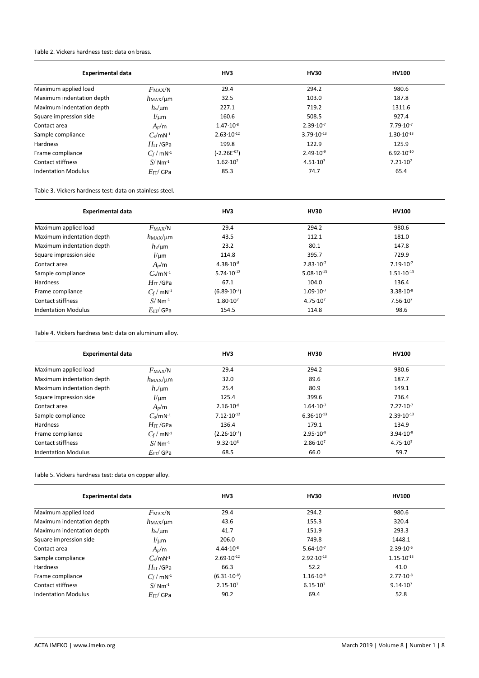#### <span id="page-5-0"></span>Table 2. Vickers hardness test: data on brass.

| <b>Experimental data</b>   |                              | HV3                   | <b>HV30</b>           | <b>HV100</b>          |  |
|----------------------------|------------------------------|-----------------------|-----------------------|-----------------------|--|
| Maximum applied load       | $F_{\rm MAX}/N$              | 29.4                  | 294.2                 | 980.6                 |  |
| Maximum indentation depth  | $h$ <sub>MAX</sub> / $\mu$ m | 32.5                  | 103.0                 | 187.8                 |  |
| Maximum indentation depth  | $h_v$ /um                    | 227.1                 | 719.2                 | 1311.6                |  |
| Square impression side     | $l/\mu m$                    | 160.6                 | 508.5                 | 927.4                 |  |
| Contact area               | $A_p/m$                      | $1.47 \cdot 10^{-8}$  | $2.39 \cdot 10^{-7}$  | $7.79 \cdot 10^{-7}$  |  |
| Sample compliance          | $C_s/mN^{-1}$                | $2.63 \cdot 10^{-12}$ | $3.79 \cdot 10^{-13}$ | $1.30 \cdot 10^{-13}$ |  |
| <b>Hardness</b>            | $H$ ı $\pi$ /GPa             | 199.8                 | 122.9                 | 125.9                 |  |
| Frame compliance           | $C_f$ / mN <sup>-1</sup>     | $(-2.26E^{-07})$      | $2.49 \cdot 10^{-9}$  | $6.92 \cdot 10^{-10}$ |  |
| <b>Contact stiffness</b>   | $S/Mm^{-1}$                  | $1.62 \cdot 10^{7}$   | $4.51 \cdot 10^{7}$   | $7.21 \cdot 10^7$     |  |
| <b>Indentation Modulus</b> | $E_{\mathrm{IT}}$ / GPa      | 85.3                  | 74.7                  | 65.4                  |  |

Table 3. Vickers hardness test: data on stainless steel.

| <b>Experimental data</b>   |                          | HV3                   | <b>HV30</b>           | <b>HV100</b>          |  |
|----------------------------|--------------------------|-----------------------|-----------------------|-----------------------|--|
| Maximum applied load       | $F_{\rm MAX}/N$          | 29.4                  | 294.2                 | 980.6                 |  |
| Maximum indentation depth  | $h_{MAX}/\mu m$          | 43.5                  | 112.1                 | 181.0                 |  |
| Maximum indentation depth  | $h_v/\mu$ m              | 23.2                  | 80.1                  | 147.8                 |  |
| Square impression side     | $l/\mu m$                | 114.8                 | 395.7                 | 729.9                 |  |
| Contact area               | $A_p/m$                  | $4.38 \cdot 10^{-8}$  | $2.83 \cdot 10^{-7}$  | $7.19 \cdot 10^{-7}$  |  |
| Sample compliance          | $C_s/mN^{-1}$            | $5.74 \cdot 10^{-12}$ | $5.08 \cdot 10^{-13}$ | $1.51 \cdot 10^{-13}$ |  |
| Hardness                   | $H_{\text{IT}}$ /GPa     | 67.1                  | 104.0                 | 136.4                 |  |
| Frame compliance           | $C_f$ / mN <sup>-1</sup> | $(6.89 \cdot 10^{7})$ | $1.09 \cdot 10^{-7}$  | $3.38 \cdot 10^{-8}$  |  |
| <b>Contact stiffness</b>   | $S/Mm^{-1}$              | $1.80 \cdot 10^{7}$   | $4.75 \cdot 10^{7}$   | 7.56·10 <sup>7</sup>  |  |
| <b>Indentation Modulus</b> | $E_{\rm IT}$ / GPa       | 154.5                 | 114.8                 | 98.6                  |  |

Table 4. Vickers hardness test: data on aluminum alloy.

| <b>Experimental data</b>   |                              | HV3                    | <b>HV30</b>           | <b>HV100</b>          |
|----------------------------|------------------------------|------------------------|-----------------------|-----------------------|
| Maximum applied load       | $F_{\rm MAX}/N$              | 29.4                   | 294.2                 | 980.6                 |
| Maximum indentation depth  | $h$ <sub>MAX</sub> / $\mu$ m | 32.0                   | 89.6                  | 187.7                 |
| Maximum indentation depth  | $h_v/\mu m$                  | 25.4                   | 80.9                  | 149.1                 |
| Square impression side     | $l/\mu m$                    | 125.4                  | 399.6                 | 736.4                 |
| Contact area               | $A_p/m$                      | $2.16 \cdot 10^{-8}$   | $1.64 \cdot 10^{-7}$  | $7.27 \cdot 10^{-7}$  |
| Sample compliance          | $C_s/mN^{-1}$                | $7.12 \cdot 10^{-12}$  | $6.36 \cdot 10^{-13}$ | $2.39 \cdot 10^{-13}$ |
| <b>Hardness</b>            | $H_{\mathrm{IT}}$ /GPa       | 136.4                  | 179.1                 | 134.9                 |
| Frame compliance           | $C_f$ / mN <sup>-1</sup>     | $(2.26 \cdot 10^{-7})$ | $2.95 \cdot 10^{-8}$  | $3.94 \cdot 10^{-8}$  |
| <b>Contact stiffness</b>   | $S/Mm^{-1}$                  | $9.32 \cdot 10^6$      | $2.86 \cdot 10^{7}$   | $4.75 \cdot 10^{7}$   |
| <b>Indentation Modulus</b> | $E_{\text{IT}}$ / GPa        | 68.5                   | 66.0                  | 59.7                  |

Table 5. Vickers hardness test: data on copper alloy.

| <b>Experimental data</b>   |                              | HV3                    | <b>HV30</b>           | <b>HV100</b>          |
|----------------------------|------------------------------|------------------------|-----------------------|-----------------------|
| Maximum applied load       | $F_{\rm MAX}/N$              | 29.4                   | 294.2                 | 980.6                 |
| Maximum indentation depth  | $h$ <sub>MAX</sub> / $\mu$ m | 43.6                   | 155.3                 | 320.4                 |
| Maximum indentation depth  | $h_v/\mu m$                  | 41.7                   | 151.9                 | 293.3                 |
| Square impression side     | $l/\mu m$                    | 206.0                  | 749.8                 | 1448.1                |
| Contact area               | $A_n/m$                      | $4.44 \cdot 10^{-8}$   | $5.64 \cdot 10^{-7}$  | $2.39 \cdot 10^{-6}$  |
| Sample compliance          | $C_s/mN^{-1}$                | $2.69 \cdot 10^{-12}$  | $2.92 \cdot 10^{-13}$ | $1.15 \cdot 10^{-13}$ |
| <b>Hardness</b>            | $H_{\text{IT}}$ /GPa         | 66.3                   | 52.2                  | 41.0                  |
| Frame compliance           | $C_f$ / mN <sup>-1</sup>     | $(6.31 \cdot 10^{-8})$ | $1.16 \cdot 10^{-8}$  | $2.77 \cdot 10^{-8}$  |
| <b>Contact stiffness</b>   | $S/Nm^{-1}$                  | $2.15 \cdot 10^{7}$    | $6.15 \cdot 10^{7}$   | $9.14 \cdot 10^{7}$   |
| <b>Indentation Modulus</b> | $E_{\text{IT}}$ / GPa        | 90.2                   | 69.4                  | 52.8                  |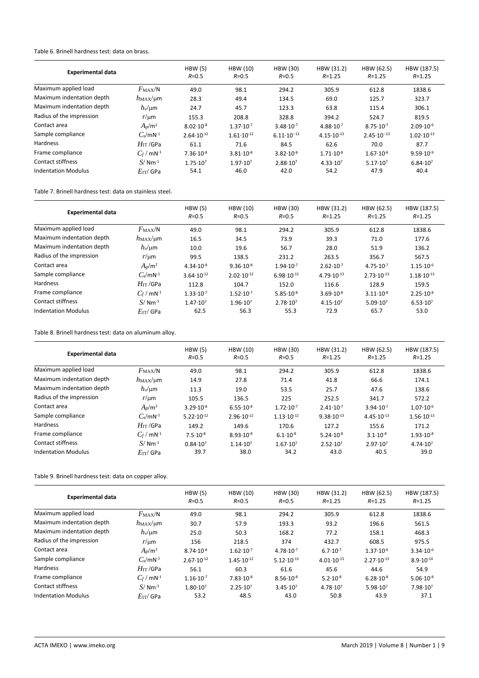#### <span id="page-6-0"></span>Table 6. Brinell hardness test: data on brass.

| <b>Experimental data</b>   |                          | HBW(5)<br>$R = 0.5$   | HBW (10)<br>$R = 0.5$ | HBW (30)<br>$R = 0.5$ | HBW (31.2)<br>$R = 1.25$ | HBW (62.5)<br>$R = 1.25$ | HBW (187.5)<br>$R = 1.25$ |
|----------------------------|--------------------------|-----------------------|-----------------------|-----------------------|--------------------------|--------------------------|---------------------------|
| Maximum applied load       | $F_{\rm MAX}/N$          | 49.0                  | 98.1                  | 294.2                 | 305.9                    | 612.8                    | 1838.6                    |
| Maximum indentation depth  | $h_{MAX}/\mu m$          | 28.3                  | 49.4                  | 134.5                 | 69.0                     | 125.7                    | 323.7                     |
| Maximum indentation depth  | $h_v$ /µm                | 24.7                  | 45.7                  | 123.3                 | 63.8                     | 115.4                    | 306.1                     |
| Radius of the impression   | $r/\mu m$                | 155.3                 | 208.8                 | 328.8                 | 394.2                    | 524.7                    | 819.5                     |
| Contact area               | $A_p/m^2$                | $8.02 \cdot 10^{-8}$  | $1.37 \cdot 10^{-7}$  | $3.48 \cdot 10^{-7}$  | $4.88 \cdot 10^{-7}$     | $8.75 \cdot 10^{-7}$     | $2.09 \cdot 10^{-6}$      |
| Sample compliance          | $C_s/mN^{-1}$            | $2.64 \cdot 10^{-12}$ | $1.61 \cdot 10^{-12}$ | $6.11 \cdot 10^{-13}$ | $4.15 \cdot 10^{-13}$    | $2.45 \cdot 10^{-13}$    | $1.02 \cdot 10^{-13}$     |
| <b>Hardness</b>            | $H_{\rm IT}$ /GPa        | 61.1                  | 71.6                  | 84.5                  | 62.6                     | 70.0                     | 87.7                      |
| Frame compliance           | $C_f$ / mN <sup>-1</sup> | $7.36 \cdot 10^{-8}$  | $3.81 \cdot 10^{-8}$  | $3.82 \cdot 10^{-8}$  | $1.71 \cdot 10^{-8}$     | $1.67 \cdot 10^{-8}$     | $9.59 \cdot 10^{-9}$      |
| <b>Contact stiffness</b>   | $S/Mm^{-1}$              | $1.75 \cdot 10^{7}$   | $1.97 \cdot 10^{7}$   | $2.88 \cdot 10^{7}$   | $4.33 \cdot 10^{7}$      | $5.17 \cdot 10^{7}$      | $6.84 \cdot 10^{7}$       |
| <b>Indentation Modulus</b> | $E$ IT/GPa               | 54.1                  | 46.0                  | 42.0                  | 54.2                     | 47.9                     | 40.4                      |

#### <span id="page-6-1"></span>Table 7. Brinell hardness test: data on stainless steel.

| <b>Experimental data</b>  |                          | HBW(5)<br>$R = 0.5$   | <b>HBW (10)</b><br>$R = 0.5$ | HBW (30)<br>$R = 0.5$ | HBW (31.2)<br>$R = 1.25$ | HBW (62.5)<br>$R = 1.25$ | HBW (187.5)<br>$R = 1.25$ |
|---------------------------|--------------------------|-----------------------|------------------------------|-----------------------|--------------------------|--------------------------|---------------------------|
| Maximum applied load      | $F_{MAX}/N$              | 49.0                  | 98.1                         | 294.2                 | 305.9                    | 612.8                    | 1838.6                    |
| Maximum indentation depth | $h_{MAX}/\mu m$          | 16.5                  | 34.5                         | 73.9                  | 39.3                     | 71.0                     | 177.6                     |
| Maximum indentation depth | $h_v$ /um                | 10.0                  | 19.6                         | 56.7                  | 28.0                     | 51.9                     | 136.2                     |
| Radius of the impression  | $r/\mu m$                | 99.5                  | 138.5                        | 231.2                 | 263.5                    | 356.7                    | 567.5                     |
| Contact area              | $A_p/m^2$                | $4.34 \cdot 10^{-8}$  | $9.36 \cdot 10^{-8}$         | $1.94 \cdot 10^{-7}$  | $2.62 \cdot 10^{-7}$     | $4.75 \cdot 10^{-7}$     | $1.15 \cdot 10^{-6}$      |
| Sample compliance         | $C_s/mN^{-1}$            | $3.64 \cdot 10^{-12}$ | $2.02 \cdot 10^{-12}$        | $6.98 \cdot 10^{-13}$ | $4.79 \cdot 10^{-13}$    | $2.73 \cdot 10^{-13}$    | $1.18 \cdot 10^{-13}$     |
| Hardness                  | $H_{\text{IT}}$ /GPa     | 112.8                 | 104.7                        | 152.0                 | 116.6                    | 128.9                    | 159.5                     |
| Frame compliance          | $C_f$ / mN <sup>-1</sup> | $1.33 \cdot 10^{-7}$  | $1.52 \cdot 10^{-7}$         | $5.85 \cdot 10^{-8}$  | $3.69 \cdot 10^{-8}$     | $3.11 \cdot 10^{-8}$     | $2.25 \cdot 10^{-8}$      |
| Contact stiffness         | $S/Nm^{-1}$              | $1.47 \cdot 10^{7}$   | $1.96 \cdot 10^{7}$          | $2.78 \cdot 10^{7}$   | $4.15 \cdot 10^{7}$      | $5.09 \cdot 10^{7}$      | $6.53 \cdot 10^{7}$       |
| Indentation Modulus       | $E$ т $\sqrt{ }$ GPa     | 62.5                  | 56.3                         | 55.3                  | 72.9                     | 65.7                     | 53.0                      |

## <span id="page-6-2"></span>Table 8. Brinell hardness test: data on aluminum alloy.

| <b>Experimental data</b>   |                              | HBW(5)<br>$R = 0.5$   | <b>HBW</b> (10)<br>$R = 0.5$ | HBW (30)<br>$R = 0.5$ | HBW (31.2)<br>$R = 1.25$ | HBW (62.5)<br>$R = 1.25$ | HBW (187.5)<br>$R = 1.25$ |
|----------------------------|------------------------------|-----------------------|------------------------------|-----------------------|--------------------------|--------------------------|---------------------------|
| Maximum applied load       | $F_{\rm MAX}/N$              | 49.0                  | 98.1                         | 294.2                 | 305.9                    | 612.8                    | 1838.6                    |
| Maximum indentation depth  | $h$ <sub>MAX</sub> / $\mu$ m | 14.9                  | 27.8                         | 71.4                  | 41.8                     | 66.6                     | 174.1                     |
| Maximum indentation depth  | $h_v/\mu m$                  | 11.3                  | 19.0                         | 53.5                  | 25.7                     | 47.6                     | 138.6                     |
| Radius of the impression   | $r/\mu m$                    | 105.5                 | 136.5                        | 225                   | 252.5                    | 341.7                    | 572.2                     |
| Contact area               | $A_n/m^2$                    | $3.29 \cdot 10^{-8}$  | $6.55 \cdot 10^{-8}$         | $1.72 \cdot 10^{-7}$  | $2.41 \cdot 10^{-7}$     | $3.94 \cdot 10^{-7}$     | $1.07 \cdot 10^{-6}$      |
| Sample compliance          | $C_s/mN^{-1}$                | $5.22 \cdot 10^{-12}$ | $2.96 \cdot 10^{-12}$        | $1.13 \cdot 10^{-12}$ | $9.38 \cdot 10^{-13}$    | $4.45 \cdot 10^{-13}$    | $1.56 \cdot 10^{-13}$     |
| <b>Hardness</b>            | $H_{\text{IT}}$ /GPa         | 149.2                 | 149.6                        | 170.6                 | 127.2                    | 155.6                    | 171.2                     |
| Frame compliance           | $C_f$ / mN <sup>-1</sup>     | $7.5 \cdot 10^{-8}$   | $8.93 \cdot 10^{-8}$         | $6.1 \cdot 10^{-8}$   | $5.24 \cdot 10^{-8}$     | $3.1 \cdot 10^{-8}$      | $1.93 \cdot 10^{-8}$      |
| Contact stiffness          | $S/Mm^{-1}$                  | $0.84 \cdot 10^{7}$   | $1.14 \cdot 10^{7}$          | $1.67 \cdot 10^{7}$   | $2.52 \cdot 10^7$        | $2.97 \cdot 10^{7}$      | $4.74 \cdot 10^{7}$       |
| <b>Indentation Modulus</b> | $E_{\text{IT}}$ GPa          | 39.7                  | 38.0                         | 34.2                  | 43.0                     | 40.5                     | 39.0                      |

# <span id="page-6-3"></span>Table 9. Brinell hardness test: data on copper alloy.

| <b>Experimental data</b>   |                              | HBW(5)<br>$R = 0.5$   | <b>HBW (10)</b><br>$R = 0.5$ | <b>HBW (30)</b><br>$R = 0.5$ | HBW (31.2)<br>$R = 1.25$ | HBW (62.5)<br>$R = 1.25$ | HBW (187.5)<br>$R = 1.25$ |
|----------------------------|------------------------------|-----------------------|------------------------------|------------------------------|--------------------------|--------------------------|---------------------------|
| Maximum applied load       | $F_{\rm MAX}/N$              | 49.0                  | 98.1                         | 294.2                        | 305.9                    | 612.8                    | 1838.6                    |
| Maximum indentation depth  | $h$ <sub>MAX</sub> / $\mu$ m | 30.7                  | 57.9                         | 193.3                        | 93.2                     | 196.6                    | 561.5                     |
| Maximum indentation depth  | $h_v$ /µm                    | 25.0                  | 50.3                         | 168.2                        | 77.2                     | 158.1                    | 468.3                     |
| Radius of the impression   | $r/\mu m$                    | 156                   | 218.5                        | 374                          | 432.7                    | 608.5                    | 975.5                     |
| Contact area               | $A_p/m^2$                    | $8.74 \cdot 10^{-8}$  | $1.62 \cdot 10^{-7}$         | $4.78 \cdot 10^{-7}$         | $6.7 \cdot 10^{-7}$      | $1.37 \cdot 10^{-6}$     | $3.34 \cdot 10^{-6}$      |
| Sample compliance          | $C_s/mN^{-1}$                | $2.67 \cdot 10^{-12}$ | $1.45 \cdot 10^{-12}$        | $5.12 \cdot 10^{-13}$        | $4.01 \cdot 10^{-13}$    | $2.27 \cdot 10^{-13}$    | $8.9 \cdot 10^{-14}$      |
| <b>Hardness</b>            | $H_{\text{IT}}$ /GPa         | 56.1                  | 60.3                         | 61.6                         | 45.6                     | 44.6                     | 54.9                      |
| Frame compliance           | $C_f$ / mN <sup>-1</sup>     | $1.16 \cdot 10^{-7}$  | $7.83 \cdot 10^{-8}$         | $8.56 \cdot 10^{-8}$         | $5.2 \cdot 10^{-8}$      | $6.28 \cdot 10^{-8}$     | $5.06 \cdot 10^{-8}$      |
| Contact stiffness          | $S/Mm^{-1}$                  | $1.80 \cdot 10^{7}$   | $2.25 \cdot 10^7$            | $3.45 \cdot 10^{7}$          | $4.78 \cdot 10^{7}$      | $5.98 \cdot 10^{7}$      | $7.98 \cdot 10^{7}$       |
| <b>Indentation Modulus</b> | $E_{\text{IT}}$ GPa          | 53.2                  | 48.5                         | 43.0                         | 50.8                     | 43.9                     | 37.1                      |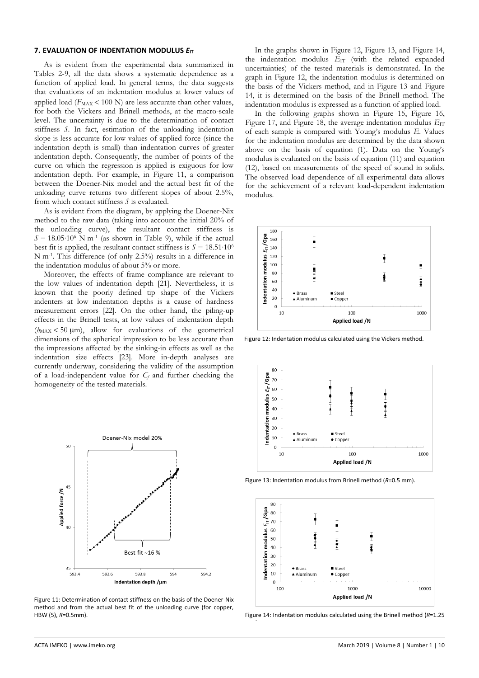#### **7. EVALUATION OF INDENTATION MODULUS**  $E_{IT}$

As is evident from the experimental data summarized in Tables [2](#page-5-0)[-9,](#page-6-3) all the data shows a systematic dependence as a function of applied load. In general terms, the data suggests that evaluations of an indentation modulus at lower values of applied load  $(F_{MAX} < 100 N)$  are less accurate than other values, for both the Vickers and Brinell methods, at the macro-scale level. The uncertainty is due to the determination of contact stiffness *S*. In fact, estimation of the unloading indentation slope is less accurate for low values of applied force (since the indentation depth is small) than indentation curves of greater indentation depth. Consequently, the number of points of the curve on which the regression is applied is exiguous for low indentation depth. For example, in [Figure 11,](#page-7-0) a comparison between the Doener-Nix model and the actual best fit of the unloading curve returns two different slopes of about 2.5%, from which contact stiffness *S* is evaluated.

As is evident from the diagram, by applying the Doener-Nix method to the raw data (taking into account the initial 20% of the unloading curve), the resultant contact stiffness is  $S = 18.05 \cdot 10^6$  N m<sup>-1</sup> (as shown in Table [9\)](#page-6-3), while if the actual best fit is applied, the resultant contact stiffness is  $S = 18.51 \cdot 10^6$ N m-1 . This difference (of only 2.5%) results in a difference in the indentation modulus of about 5% or more.

Moreover, the effects of frame compliance are relevant to the low values of indentation depth [\[21\].](#page-9-10) Nevertheless, it is known that the poorly defined tip shape of the Vickers indenters at low indentation depths is a cause of hardness measurement errors [\[22\].](#page-9-11) On the other hand, the piling-up effects in the Brinell tests, at low values of indentation depth  $(h_{MAX} < 50 \mu m)$ , allow for evaluations of the geometrical dimensions of the spherical impression to be less accurate than the impressions affected by the sinking-in effects as well as the indentation size effects [\[23\].](#page-9-12) More in-depth analyses are currently underway, considering the validity of the assumption of a load-independent value for *C<sup>f</sup>* and further checking the homogeneity of the tested materials.



<span id="page-7-0"></span>Figure 11: Determination of contact stiffness on the basis of the Doener-Nix method and from the actual best fit of the unloading curve (for copper, HBW (5), *R*=0.5mm).

In the graphs shown in [Figure 12,](#page-7-1) [Figure 13,](#page-7-2) and [Figure 14,](#page-7-3) the indentation modulus  $E_{IT}$  (with the related expanded uncertainties) of the tested materials is demonstrated. In the graph in [Figure 12,](#page-7-1) the indentation modulus is determined on the basis of the Vickers method, and in [Figure 13](#page-7-2) and [Figure](#page-7-3)  [14,](#page-7-3) it is determined on the basis of the Brinell method. The indentation modulus is expressed as a function of applied load.

In the following graphs shown in [Figure 15,](#page-8-6) [Figure 16,](#page-8-7)  [Figure 17,](#page-8-8) and [Figure 18,](#page-8-9) the average indentation modulus  $E_{\text{IT}}$ of each sample is compared with Young's modulus *E*. Values for the indentation modulus are determined by the data shown above on the basis of equation (1). Data on the Young's modulus is evaluated on the basis of equation (11) and equation (12), based on measurements of the speed of sound in solids. The observed load dependence of all experimental data allows for the achievement of a relevant load-dependent indentation modulus.



<span id="page-7-1"></span>Figure 12: Indentation modulus calculated using the Vickers method.



<span id="page-7-2"></span>Figure 13: Indentation modulus from Brinell method (*R*=0.5 mm).



<span id="page-7-3"></span>Figure 14: Indentation modulus calculated using the Brinell method (*R*=1.25

mm).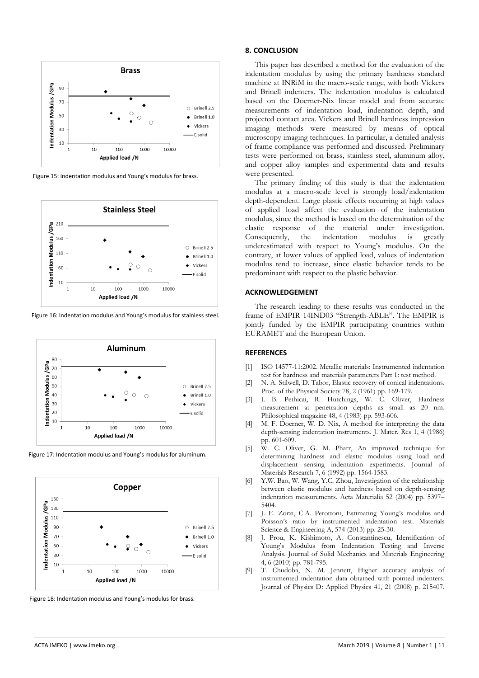

<span id="page-8-6"></span>Figure 15: Indentation modulus and Young's modulus for brass.



<span id="page-8-7"></span>Figure 16: Indentation modulus and Young's modulus for stainless steel.



<span id="page-8-8"></span>Figure 17: Indentation modulus and Young's modulus for aluminum.



<span id="page-8-9"></span>Figure 18: Indentation modulus and Young's modulus for brass.

#### **8. CONCLUSION**

This paper has described a method for the evaluation of the indentation modulus by using the primary hardness standard machine at INRiM in the macro-scale range, with both Vickers and Brinell indenters. The indentation modulus is calculated based on the Doerner-Nix linear model and from accurate measurements of indentation load, indentation depth, and projected contact area. Vickers and Brinell hardness impression imaging methods were measured by means of optical microscopy imaging techniques. In particular, a detailed analysis of frame compliance was performed and discussed. Preliminary tests were performed on brass, stainless steel, aluminum alloy, and copper alloy samples and experimental data and results were presented.

The primary finding of this study is that the indentation modulus at a macro-scale level is strongly load/indentation depth-dependent. Large plastic effects occurring at high values of applied load affect the evaluation of the indentation modulus, since the method is based on the determination of the elastic response of the material under investigation. Consequently, the indentation modulus is greatly underestimated with respect to Young's modulus. On the contrary, at lower values of applied load, values of indentation modulus tend to increase, since elastic behavior tends to be predominant with respect to the plastic behavior.

#### **ACKNOWLEDGEMENT**

The research leading to these results was conducted in the frame of EMPIR 14IND03 "Strength-ABLE". The EMPIR is jointly funded by the EMPIR participating countries within EURAMET and the European Union.

#### **REFERENCES**

- <span id="page-8-0"></span>[1] ISO 14577-11:2002. Metallic materials: Instrumented indentation test for hardness and materials parameters Part 1: test method.
- <span id="page-8-1"></span>[2] N. A. Stilwell, D. Tabor, Elastic recovery of conical indentations. Proc. of the Physical Society 78, 2 (1961) pp. 169-179.
- <span id="page-8-2"></span>[3] J. B. Pethicai, R. Hutchings, W. C. Oliver, Hardness measurement at penetration depths as small as 20 nm. Philosophical magazine 48, 4 (1983) pp. 593-606.
- <span id="page-8-3"></span>[4] M. F. Doerner, W. D. Nix, A method for interpreting the data depth-sensing indentation instruments. J. Mater. Res 1, 4 (1986) pp. 601-609.
- <span id="page-8-4"></span>[5] W. C. Oliver, G. M. Pharr, An improved technique for determining hardness and elastic modulus using load and displacement sensing indentation experiments. Journal of Materials Research 7, 6 (1992) pp. 1564-1583.
- <span id="page-8-5"></span>[6] Y.W. Bao, W. Wang, Y.C. Zhou, Investigation of the relationship between elastic modulus and hardness based on depth-sensing indentation measurements. Acta Materialia 52 (2004) pp. 5397– 5404.
- [7] J. E. Zorzi, C.A. Perottoni, Estimating Young's modulus and Poisson's ratio by instrumented indentation test. Materials Science & Engineering A, 574 (2013) pp. 25-30.
- [8] J. Prou, K. Kishimoto, A. Constantinescu, Identification of Young's Modulus from Indentation Testing and Inverse Analysis. Journal of Solid Mechanics and Materials Engineering 4, 6 (2010) pp. 781-795.
- [9] T. Chudoba, N. M. Jennett, Higher accuracy analysis of instrumented indentation data obtained with pointed indenters. Journal of Physics D: Applied Physics 41, 21 (2008) p. 215407.